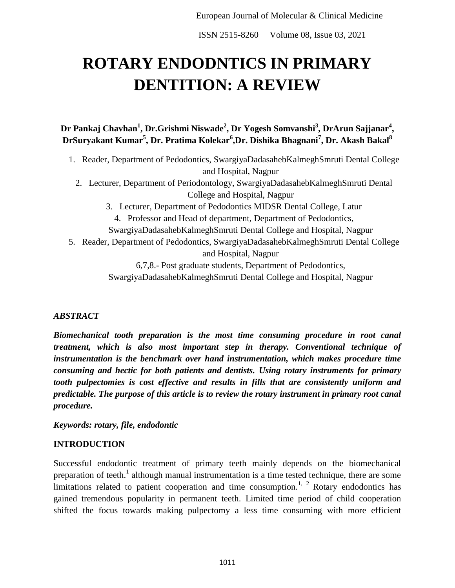ISSN 2515-8260 Volume 08, Issue 03, 2021

# **ROTARY ENDODNTICS IN PRIMARY DENTITION: A REVIEW**

**Dr Pankaj Chavhan<sup>1</sup> , Dr.Grishmi Niswade<sup>2</sup> , Dr Yogesh Somvanshi<sup>3</sup> , DrArun Sajjanar<sup>4</sup> ,**   $\mathbf{D}$ rSuryakant Kumar $^5$ , Dr. Pratima Kolekar $^6$ ,Dr. Dishika Bhagnani $^7$ , Dr. Akash Bakal $^8$ 

- 1. Reader, Department of Pedodontics, SwargiyaDadasahebKalmeghSmruti Dental College and Hospital, Nagpur
	- 2. Lecturer, Department of Periodontology, SwargiyaDadasahebKalmeghSmruti Dental College and Hospital, Nagpur
		- 3. Lecturer, Department of Pedodontics MIDSR Dental College, Latur 4. Professor and Head of department, Department of Pedodontics,
		- SwargiyaDadasahebKalmeghSmruti Dental College and Hospital, Nagpur
- 5. Reader, Department of Pedodontics, SwargiyaDadasahebKalmeghSmruti Dental College and Hospital, Nagpur

6,7,8.- Post graduate students, Department of Pedodontics,

SwargiyaDadasahebKalmeghSmruti Dental College and Hospital, Nagpur

#### *ABSTRACT*

*Biomechanical tooth preparation is the most time consuming procedure in root canal treatment, which is also most important step in therapy. Conventional technique of instrumentation is the benchmark over hand instrumentation, which makes procedure time consuming and hectic for both patients and dentists. Using rotary instruments for primary tooth pulpectomies is cost effective and results in fills that are consistently uniform and predictable. The purpose of this article is to review the rotary instrument in primary root canal procedure.* 

*Keywords: rotary, file, endodontic*

#### **INTRODUCTION**

Successful endodontic treatment of primary teeth mainly depends on the biomechanical preparation of teeth.<sup>1</sup> although manual instrumentation is a time tested technique, there are some limitations related to patient cooperation and time consumption.<sup>1, 2</sup> Rotary endodontics has gained tremendous popularity in permanent teeth. Limited time period of child cooperation shifted the focus towards making pulpectomy a less time consuming with more efficient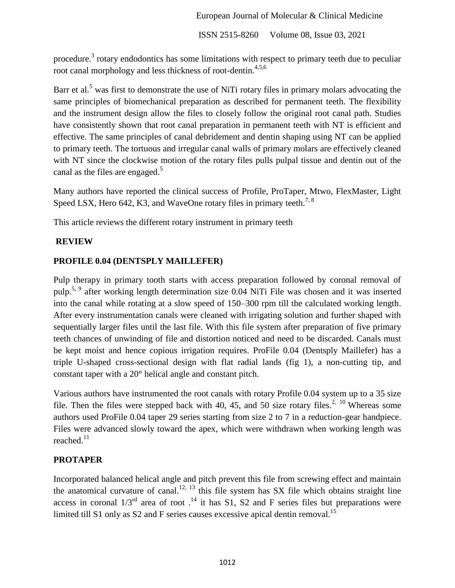ISSN 2515-8260 Volume 08, Issue 03, 2021

procedure.<sup>3</sup> rotary endodontics has some limitations with respect to primary teeth due to peculiar root canal morphology and less thickness of root-dentin.<sup>4,5,6</sup>

Barr et al.<sup>5</sup> was first to demonstrate the use of NiTi rotary files in primary molars advocating the same principles of biomechanical preparation as described for permanent teeth. The flexibility and the instrument design allow the files to closely follow the original root canal path. Studies have consistently shown that root canal preparation in permanent teeth with NT is efficient and effective. The same principles of canal debridement and dentin shaping using NT can be applied to primary teeth. The tortuous and irregular canal walls of primary molars are effectively cleaned with NT since the clockwise motion of the rotary files pulls pulpal tissue and dentin out of the canal as the files are engaged.<sup>5</sup>

Many authors have reported the clinical success of Profile, ProTaper, Mtwo, FlexMaster, Light Speed LSX, Hero 642, K3, and WaveOne rotary files in primary teeth.<sup>7, 8</sup>

This article reviews the different rotary instrument in primary teeth

# **REVIEW**

## **PROFILE 0.04 (DENTSPLY MAILLEFER)**

Pulp therapy in primary tooth starts with access preparation followed by coronal removal of pulp.5, 9 after working length determination size 0.04 NiTi File was chosen and it was inserted into the canal while rotating at a slow speed of 150–300 rpm till the calculated working length. After every instrumentation canals were cleaned with irrigating solution and further shaped with sequentially larger files until the last file. With this file system after preparation of five primary teeth chances of unwinding of file and distortion noticed and need to be discarded. Canals must be kept moist and hence copious irrigation requires. ProFile 0.04 (Dentsply Maillefer) has a triple U-shaped cross-sectional design with flat radial lands (fig 1), a non-cutting tip, and constant taper with a 20° helical angle and constant pitch.

Various authors have instrumented the root canals with rotary Profile 0.04 system up to a 35 size file. Then the files were stepped back with 40, 45, and 50 size rotary files.<sup>2, 10</sup> Whereas some authors used ProFile 0.04 taper 29 series starting from size 2 to 7 in a reduction-gear handpiece. Files were advanced slowly toward the apex, which were withdrawn when working length was reached.<sup>11</sup>

# **PROTAPER**

Incorporated balanced helical angle and pitch prevent this file from screwing effect and maintain the anatomical curvature of canal.<sup>12, 13</sup> this file system has SX file which obtains straight line access in coronal  $1/3^{rd}$  area of root  $.14$  it has S1, S2 and F series files but preparations were limited till S1 only as S2 and F series causes excessive apical dentin removal.<sup>15</sup>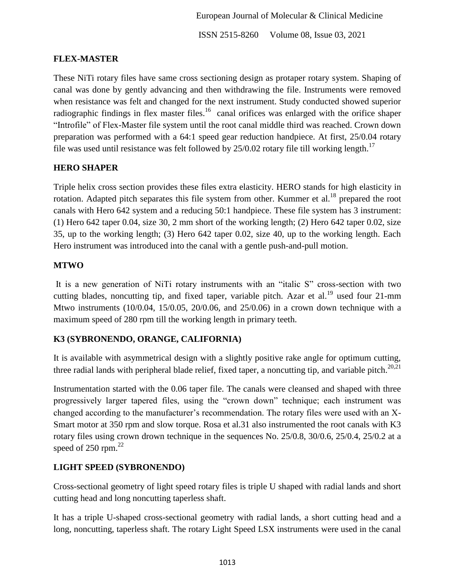ISSN 2515-8260 Volume 08, Issue 03, 2021

#### **FLEX-MASTER**

These NiTi rotary files have same cross sectioning design as protaper rotary system. Shaping of canal was done by gently advancing and then withdrawing the file. Instruments were removed when resistance was felt and changed for the next instrument. Study conducted showed superior radiographic findings in flex master files.<sup>16</sup> canal orifices was enlarged with the orifice shaper "Introfile" of Flex-Master file system until the root canal middle third was reached. Crown down preparation was performed with a 64:1 speed gear reduction handpiece. At first, 25/0.04 rotary file was used until resistance was felt followed by  $25/0.02$  rotary file till working length.<sup>17</sup>

#### **HERO SHAPER**

Triple helix cross section provides these files extra elasticity. HERO stands for high elasticity in rotation. Adapted pitch separates this file system from other. Kummer et al.<sup>18</sup> prepared the root canals with Hero 642 system and a reducing 50:1 handpiece. These file system has 3 instrument: (1) Hero 642 taper 0.04, size 30, 2 mm short of the working length; (2) Hero 642 taper 0.02, size 35, up to the working length; (3) Hero 642 taper 0.02, size 40, up to the working length. Each Hero instrument was introduced into the canal with a gentle push-and-pull motion.

## **MTWO**

It is a new generation of NiTi rotary instruments with an "italic S" cross-section with two cutting blades, noncutting tip, and fixed taper, variable pitch. Azar et al.<sup>19</sup> used four 21-mm Mtwo instruments (10/0.04, 15/0.05, 20/0.06, and 25/0.06) in a crown down technique with a maximum speed of 280 rpm till the working length in primary teeth.

# **K3 (SYBRONENDO, ORANGE, CALIFORNIA)**

It is available with asymmetrical design with a slightly positive rake angle for optimum cutting, three radial lands with peripheral blade relief, fixed taper, a noncutting tip, and variable pitch.<sup>20,21</sup>

Instrumentation started with the 0.06 taper file. The canals were cleansed and shaped with three progressively larger tapered files, using the "crown down" technique; each instrument was changed according to the manufacturer's recommendation. The rotary files were used with an X-Smart motor at 350 rpm and slow torque. Rosa et al.31 also instrumented the root canals with K3 rotary files using crown drown technique in the sequences No. 25/0.8, 30/0.6, 25/0.4, 25/0.2 at a speed of  $250$  rpm.<sup>22</sup>

#### **LIGHT SPEED (SYBRONENDO)**

Cross-sectional geometry of light speed rotary files is triple U shaped with radial lands and short cutting head and long noncutting taperless shaft.

It has a triple U-shaped cross-sectional geometry with radial lands, a short cutting head and a long, noncutting, taperless shaft. The rotary Light Speed LSX instruments were used in the canal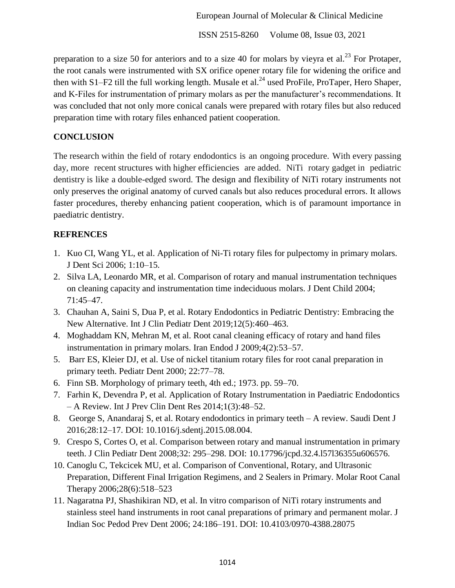ISSN 2515-8260 Volume 08, Issue 03, 2021

preparation to a size 50 for anteriors and to a size 40 for molars by vieyra et al.<sup>23</sup> For Protaper, the root canals were instrumented with SX orifice opener rotary file for widening the orifice and then with S1–F2 till the full working length. Musale et al.<sup>24</sup> used ProFile, ProTaper, Hero Shaper, and K-Files for instrumentation of primary molars as per the manufacturer's recommendations. It was concluded that not only more conical canals were prepared with rotary files but also reduced preparation time with rotary files enhanced patient cooperation.

## **CONCLUSION**

The research within the field of rotary endodontics is an ongoing procedure. With every passing day, more recent structures with higher efficiencies are added. NiTi rotary gadget in pediatric dentistry is like a double-edged sword. The design and flexibility of NiTi rotary instruments not only preserves the original anatomy of curved canals but also reduces procedural errors. It allows faster procedures, thereby enhancing patient cooperation, which is of paramount importance in paediatric dentistry.

## **REFRENCES**

- 1. Kuo CI, Wang YL, et al. Application of Ni-Ti rotary files for pulpectomy in primary molars. J Dent Sci 2006; 1:10–15.
- 2. Silva LA, Leonardo MR, et al. Comparison of rotary and manual instrumentation techniques on cleaning capacity and instrumentation time indeciduous molars. J Dent Child 2004; 71:45–47.
- 3. Chauhan A, Saini S, Dua P, et al. Rotary Endodontics in Pediatric Dentistry: Embracing the New Alternative. Int J Clin Pediatr Dent 2019;12(5):460–463.
- 4. Moghaddam KN, Mehran M, et al. Root canal cleaning efficacy of rotary and hand files instrumentation in primary molars. Iran Endod J 2009;4(2):53–57.
- 5. Barr ES, Kleier DJ, et al. Use of nickel titanium rotary files for root canal preparation in primary teeth. Pediatr Dent 2000; 22:77–78.
- 6. Finn SB. Morphology of primary teeth, 4th ed.; 1973. pp. 59–70.
- 7. Farhin K, Devendra P, et al. Application of Rotary Instrumentation in Paediatric Endodontics – A Review. Int J Prev Clin Dent Res 2014;1(3):48–52.
- 8. George S, Anandaraj S, et al. Rotary endodontics in primary teeth A review. Saudi Dent J 2016;28:12–17. DOI: 10.1016/j.sdentj.2015.08.004.
- 9. Crespo S, Cortes O, et al. Comparison between rotary and manual instrumentation in primary teeth. J Clin Pediatr Dent 2008;32: 295–298. DOI: 10.17796/jcpd.32.4.l57l36355u606576.
- 10. Canoglu C, Tekcicek MU, et al. Comparison of Conventional, Rotary, and Ultrasonic Preparation, Different Final Irrigation Regimens, and 2 Sealers in Primary. Molar Root Canal Therapy 2006;28(6):518–523
- 11. Nagaratna PJ, Shashikiran ND, et al. In vitro comparison of NiTi rotary instruments and stainless steel hand instruments in root canal preparations of primary and permanent molar. J Indian Soc Pedod Prev Dent 2006; 24:186–191. DOI: 10.4103/0970-4388.28075